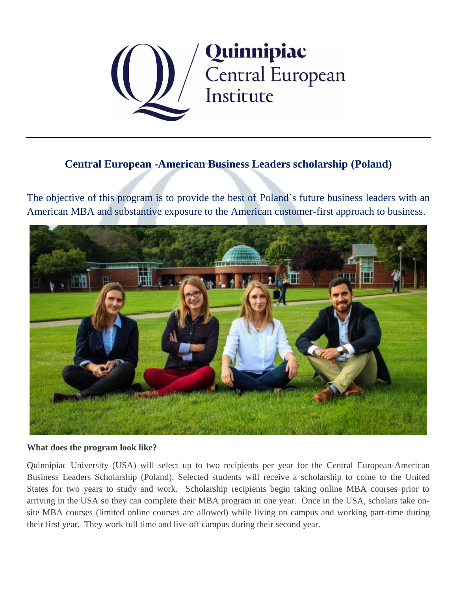

# **Central European -American Business Leaders scholarship (Poland)**

The objective of this program is to provide the best of Poland's future business leaders with an American MBA and substantive exposure to the American customer-first approach to business.



# **What does the program look like?**

Quinnipiac University (USA) will select up to two recipients per year for the Central European-American Business Leaders Scholarship (Poland). Selected students will receive a scholarship to come to the United States for two years to study and work. Scholarship recipients begin taking online MBA courses prior to arriving in the USA so they can complete their MBA program in one year. Once in the USA, scholars take onsite MBA courses (limited online courses are allowed) while living on campus and working part-time during their first year. They work full time and live off campus during their second year.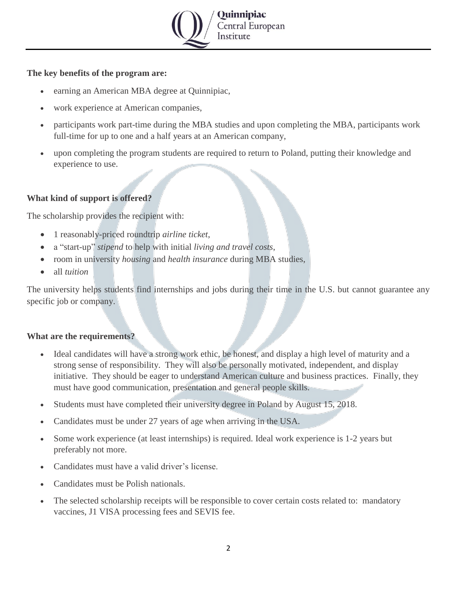

## **The key benefits of the program are:**

- earning an American MBA degree at Quinnipiac,
- work experience at American companies,
- participants work part-time during the MBA studies and upon completing the MBA, participants work full-time for up to one and a half years at an American company,
- upon completing the program students are required to return to Poland, putting their knowledge and experience to use.

# **What kind of support is offered?**

The scholarship provides the recipient with:

- 1 reasonably-priced roundtrip *airline ticket*,
- a "start-up" *stipend* to help with initial *living and travel costs*,
- room in university *housing* and *health insurance* during MBA studies,
- all *tuition*

The university helps students find internships and jobs during their time in the U.S. but cannot guarantee any specific job or company.

# **What are the requirements?**

- Ideal candidates will have a strong work ethic, be honest, and display a high level of maturity and a strong sense of responsibility. They will also be personally motivated, independent, and display initiative. They should be eager to understand American culture and business practices. Finally, they must have good communication, presentation and general people skills.
- Students must have completed their university degree in Poland by August 15, 2018.
- Candidates must be under 27 years of age when arriving in the USA.
- Some work experience (at least internships) is required. Ideal work experience is 1-2 years but preferably not more.
- Candidates must have a valid driver's license.
- Candidates must be Polish nationals.
- The selected scholarship receipts will be responsible to cover certain costs related to: mandatory vaccines, J1 VISA processing fees and SEVIS fee.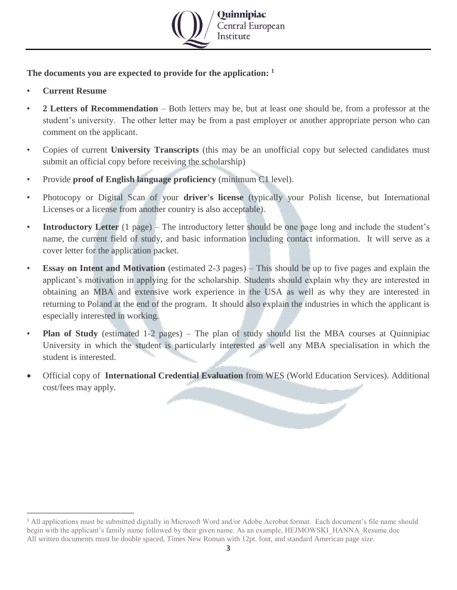

# **The documents you are expected to provide for the application: <sup>1</sup>**

• **Current Resume**

 $\overline{a}$ 

- **2 Letters of Recommendation** Both letters may be, but at least one should be, from a professor at the student's university. The other letter may be from a past employer or another appropriate person who can comment on the applicant.
- Copies of current **University Transcripts** (this may be an unofficial copy but selected candidates must submit an official copy before receiving the scholarship)
- Provide **proof of English language proficiency** (minimum C1 level).
- Photocopy or Digital Scan of your **driver's license** (typically your Polish license, but International Licenses or a license from another country is also acceptable).
- **Introductory Letter** (1 page) The introductory letter should be one page long and include the student's name, the current field of study, and basic information including contact information. It will serve as a cover letter for the application packet.
- **Essay on Intent and Motivation** (estimated 2-3 pages) This should be up to five pages and explain the applicant's motivation in applying for the scholarship. Students should explain why they are interested in obtaining an MBA and extensive work experience in the USA as well as why they are interested in returning to Poland at the end of the program. It should also explain the industries in which the applicant is especially interested in working.
- **Plan of Study** (estimated 1-2 pages) The plan of study should list the MBA courses at Quinnipiac University in which the student is particularly interested as well any MBA specialisation in which the student is interested.
- Official copy of **[International Credential Evaluation](https://www.wes.org/)** from WES (World Education Services). Additional cost/fees may apply.

<sup>1</sup> All applications must be submitted digitally in Microsoft Word and/or Adobe Acrobat format. Each document's file name should begin with the applicant's family name followed by their given name. As an example, HEJMOWSKI\_HANNA\_Resume.doc All written documents must be double spaced, Times New Roman with 12pt. font, and standard American page size.